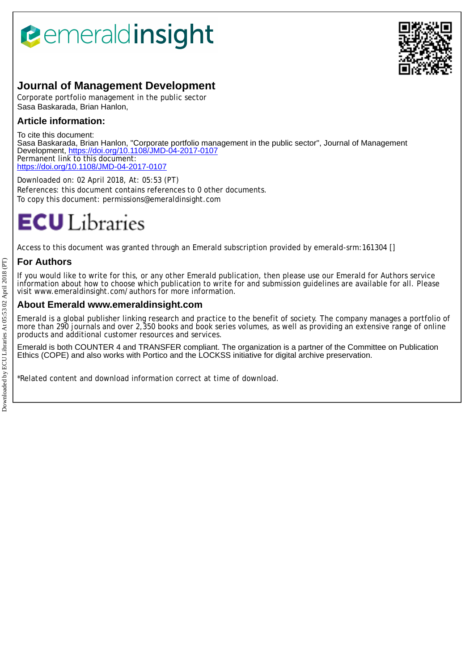# *<u><b>eemeraldinsight</u>*



## **Journal of Management Development**

Corporate portfolio management in the public sector Sasa Baskarada, Brian Hanlon,

### **Article information:**

To cite this document: Sasa Baskarada, Brian Hanlon, "Corporate portfolio management in the public sector", Journal of Management Development,<https://doi.org/10.1108/JMD-04-2017-0107> Permanent link to this document: <https://doi.org/10.1108/JMD-04-2017-0107>

Downloaded on: 02 April 2018, At: 05:53 (PT) References: this document contains references to 0 other documents. To copy this document: permissions@emeraldinsight.com

## **ECU** Libraries

Access to this document was granted through an Emerald subscription provided by emerald-srm:161304 []

#### **For Authors**

If you would like to write for this, or any other Emerald publication, then please use our Emerald for Authors service information about how to choose which publication to write for and submission guidelines are available for all. Please visit www.emeraldinsight.com/authors for more information.

#### **About Emerald www.emeraldinsight.com**

Emerald is a global publisher linking research and practice to the benefit of society. The company manages a portfolio of more than 290 journals and over 2,350 books and book series volumes, as well as providing an extensive range of online products and additional customer resources and services.

Emerald is both COUNTER 4 and TRANSFER compliant. The organization is a partner of the Committee on Publication Ethics (COPE) and also works with Portico and the LOCKSS initiative for digital archive preservation.

\*Related content and download information correct at time of download.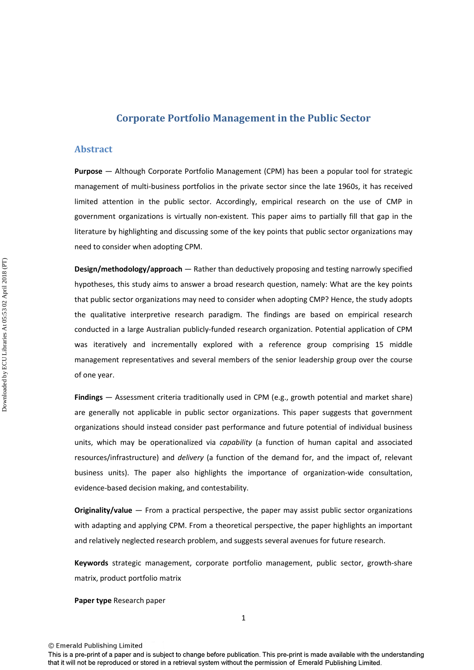#### **Corporate Portfolio Management in the Public Sector**

#### **Abstract**

**Purpose** — Although Corporate Portfolio Management (CPM) has been a popular tool for strategic management of multi-business portfolios in the private sector since the late 1960s, it has received limited attention in the public sector. Accordingly, empirical research on the use of CMP in government organizations is virtually non-existent. This paper aims to partially fill that gap in the literature by highlighting and discussing some of the key points that public sector organizations may need to consider when adopting CPM.

**Design/methodology/approach** — Rather than deductively proposing and testing narrowly specified hypotheses, this study aims to answer a broad research question, namely: What are the key points that public sector organizations may need to consider when adopting CMP? Hence, the study adopts the qualitative interpretive research paradigm. The findings are based on empirical research conducted in a large Australian publicly-funded research organization. Potential application of CPM was iteratively and incrementally explored with a reference group comprising 15 middle management representatives and several members of the senior leadership group over the course of one year.

**Findings** — Assessment criteria traditionally used in CPM (e.g., growth potential and market share) are generally not applicable in public sector organizations. This paper suggests that government organizations should instead consider past performance and future potential of individual business units, which may be operationalized via *capability* (a function of human capital and associated resources/infrastructure) and *delivery* (a function of the demand for, and the impact of, relevant business units). The paper also highlights the importance of organization-wide consultation, evidence-based decision making, and contestability.

**Originality/value** — From a practical perspective, the paper may assist public sector organizations with adapting and applying CPM. From a theoretical perspective, the paper highlights an important and relatively neglected research problem, and suggests several avenues for future research.

**Keywords** strategic management, corporate portfolio management, public sector, growth-share matrix, product portfolio matrix

**Paper type** Research paper

<sup>©</sup> Emerald Publishing Limited

This is a pre-print of a paper and is subject to change before publication. This pre-print is made available with the understanding that it will not be reproduced or stored in a retrieval system without the permission of Emerald Publishing Limited.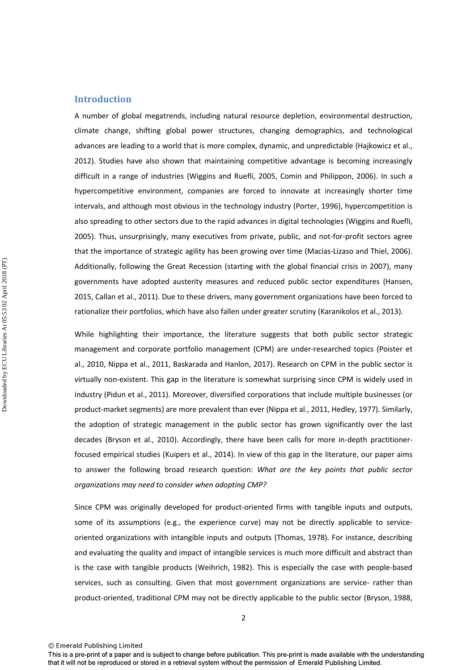#### **Introduction**

A number of global megatrends, including natural resource depletion, environmental destruction, climate change, shifting global power structures, changing demographics, and technological advances are leading to a world that is more complex, dynamic, and unpredictable (Hajkowicz et al., 2012). Studies have also shown that maintaining competitive advantage is becoming increasingly difficult in a range of industries (Wiggins and Ruefli, 2005, Comin and Philippon, 2006). In such a hypercompetitive environment, companies are forced to innovate at increasingly shorter time intervals, and although most obvious in the technology industry (Porter, 1996), hypercompetition is also spreading to other sectors due to the rapid advances in digital technologies (Wiggins and Ruefli, 2005). Thus, unsurprisingly, many executives from private, public, and not-for-profit sectors agree that the importance of strategic agility has been growing over time (Macias-Lizaso and Thiel, 2006). Additionally, following the Great Recession (starting with the global financial crisis in 2007), many governments have adopted austerity measures and reduced public sector expenditures (Hansen, 2015, Callan et al., 2011). Due to these drivers, many government organizations have been forced to rationalize their portfolios, which have also fallen under greater scrutiny (Karanikolos et al., 2013).

While highlighting their importance, the literature suggests that both public sector strategic management and corporate portfolio management (CPM) are under-researched topics (Poister et al., 2010, Nippa et al., 2011, Baskarada and Hanlon, 2017). Research on CPM in the public sector is virtually non-existent. This gap in the literature is somewhat surprising since CPM is widely used in industry (Pidun et al., 2011). Moreover, diversified corporations that include multiple businesses (or product-market segments) are more prevalent than ever (Nippa et al., 2011, Hedley, 1977). Similarly, the adoption of strategic management in the public sector has grown significantly over the last decades (Bryson et al., 2010). Accordingly, there have been calls for more in-depth practitionerfocused empirical studies (Kuipers et al., 2014). In view of this gap in the literature, our paper aims to answer the following broad research question: *What are the key points that public sector organizations may need to consider when adopting CMP?*

Since CPM was originally developed for product-oriented firms with tangible inputs and outputs, some of its assumptions (e.g., the experience curve) may not be directly applicable to serviceoriented organizations with intangible inputs and outputs (Thomas, 1978). For instance, describing and evaluating the quality and impact of intangible services is much more difficult and abstract than is the case with tangible products (Weihrich, 1982). This is especially the case with people-based services, such as consulting. Given that most government organizations are service- rather than product-oriented, traditional CPM may not be directly applicable to the public sector (Bryson, 1988,

<sup>©</sup> Emerald Publishing Limited

This is a pre-print of a paper and is subject to change before publication. This pre-print is made available with the understanding that it will not be reproduced or stored in a retrieval system without the permission of Emerald Publishing Limited.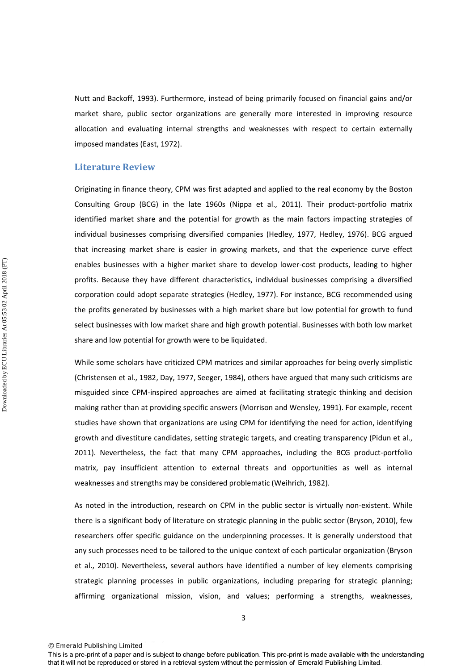Nutt and Backoff, 1993). Furthermore, instead of being primarily focused on financial gains and/or market share, public sector organizations are generally more interested in improving resource allocation and evaluating internal strengths and weaknesses with respect to certain externally imposed mandates (East, 1972).

#### **Literature Review**

Originating in finance theory, CPM was first adapted and applied to the real economy by the Boston Consulting Group (BCG) in the late 1960s (Nippa et al., 2011). Their product-portfolio matrix identified market share and the potential for growth as the main factors impacting strategies of individual businesses comprising diversified companies (Hedley, 1977, Hedley, 1976). BCG argued that increasing market share is easier in growing markets, and that the experience curve effect enables businesses with a higher market share to develop lower-cost products, leading to higher profits. Because they have different characteristics, individual businesses comprising a diversified corporation could adopt separate strategies (Hedley, 1977). For instance, BCG recommended using the profits generated by businesses with a high market share but low potential for growth to fund select businesses with low market share and high growth potential. Businesses with both low market share and low potential for growth were to be liquidated.

While some scholars have criticized CPM matrices and similar approaches for being overly simplistic (Christensen et al., 1982, Day, 1977, Seeger, 1984), others have argued that many such criticisms are misguided since CPM-inspired approaches are aimed at facilitating strategic thinking and decision making rather than at providing specific answers (Morrison and Wensley, 1991). For example, recent studies have shown that organizations are using CPM for identifying the need for action, identifying growth and divestiture candidates, setting strategic targets, and creating transparency (Pidun et al., 2011). Nevertheless, the fact that many CPM approaches, including the BCG product-portfolio matrix, pay insufficient attention to external threats and opportunities as well as internal weaknesses and strengths may be considered problematic (Weihrich, 1982).

As noted in the introduction, research on CPM in the public sector is virtually non-existent. While there is a significant body of literature on strategic planning in the public sector (Bryson, 2010), few researchers offer specific guidance on the underpinning processes. It is generally understood that any such processes need to be tailored to the unique context of each particular organization (Bryson et al., 2010). Nevertheless, several authors have identified a number of key elements comprising strategic planning processes in public organizations, including preparing for strategic planning; affirming organizational mission, vision, and values; performing a strengths, weaknesses,

<sup>©</sup> Emerald Publishing Limited

This is a pre-print of a paper and is subject to change before publication. This pre-print is made available with the understanding that it will not be reproduced or stored in a retrieval system without the permission of Emerald Publishing Limited.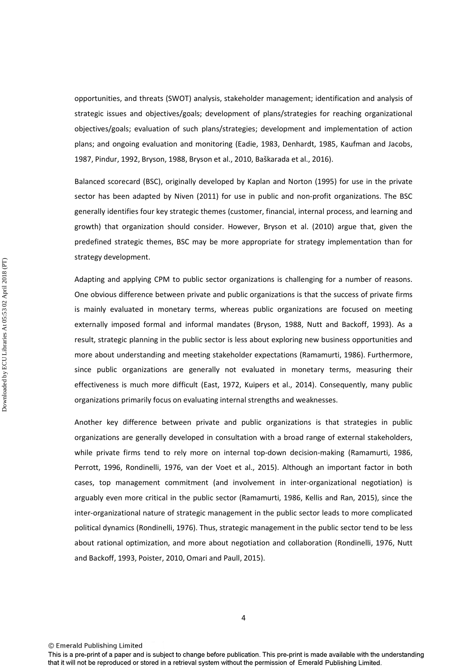opportunities, and threats (SWOT) analysis, stakeholder management; identification and analysis of strategic issues and objectives/goals; development of plans/strategies for reaching organizational objectives/goals; evaluation of such plans/strategies; development and implementation of action plans; and ongoing evaluation and monitoring (Eadie, 1983, Denhardt, 1985, Kaufman and Jacobs, 1987, Pindur, 1992, Bryson, 1988, Bryson et al., 2010, Baškarada et al., 2016).

Balanced scorecard (BSC), originally developed by Kaplan and Norton (1995) for use in the private sector has been adapted by Niven (2011) for use in public and non-profit organizations. The BSC generally identifies four key strategic themes (customer, financial, internal process, and learning and growth) that organization should consider. However, Bryson et al. (2010) argue that, given the predefined strategic themes, BSC may be more appropriate for strategy implementation than for strategy development.

Adapting and applying CPM to public sector organizations is challenging for a number of reasons. One obvious difference between private and public organizations is that the success of private firms is mainly evaluated in monetary terms, whereas public organizations are focused on meeting externally imposed formal and informal mandates (Bryson, 1988, Nutt and Backoff, 1993). As a result, strategic planning in the public sector is less about exploring new business opportunities and more about understanding and meeting stakeholder expectations (Ramamurti, 1986). Furthermore, since public organizations are generally not evaluated in monetary terms, measuring their effectiveness is much more difficult (East, 1972, Kuipers et al., 2014). Consequently, many public organizations primarily focus on evaluating internal strengths and weaknesses.

Another key difference between private and public organizations is that strategies in public organizations are generally developed in consultation with a broad range of external stakeholders, while private firms tend to rely more on internal top-down decision-making (Ramamurti, 1986, Perrott, 1996, Rondinelli, 1976, van der Voet et al., 2015). Although an important factor in both cases, top management commitment (and involvement in inter-organizational negotiation) is arguably even more critical in the public sector (Ramamurti, 1986, Kellis and Ran, 2015), since the inter-organizational nature of strategic management in the public sector leads to more complicated political dynamics (Rondinelli, 1976). Thus, strategic management in the public sector tend to be less about rational optimization, and more about negotiation and collaboration (Rondinelli, 1976, Nutt and Backoff, 1993, Poister, 2010, Omari and Paull, 2015).

© Emerald Publishing Limited

Downloaded by ECU Libraries At 05:53 02 April 2018 (PT) Downloaded by ECU Libraries At 05:53 02 April 2018 (PT)

This is a pre-print of a paper and is subject to change before publication. This pre-print is made available with the understanding that it will not be reproduced or stored in a retrieval system without the permission of Emerald Publishing Limited.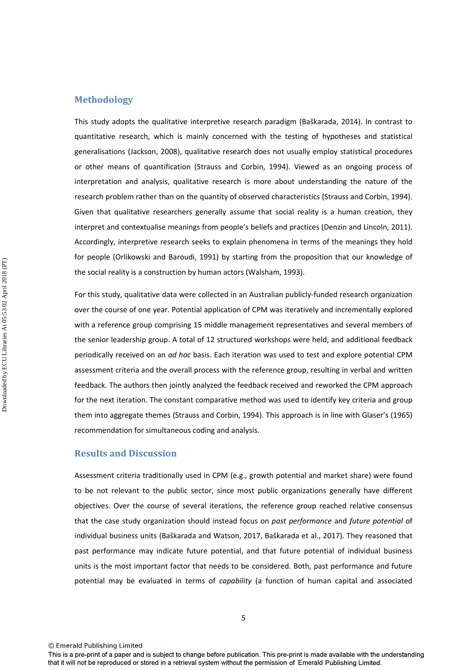#### **Methodology**

This study adopts the qualitative interpretive research paradigm (Baškarada, 2014). In contrast to quantitative research, which is mainly concerned with the testing of hypotheses and statistical generalisations (Jackson, 2008), qualitative research does not usually employ statistical procedures or other means of quantification (Strauss and Corbin, 1994). Viewed as an ongoing process of interpretation and analysis, qualitative research is more about understanding the nature of the research problem rather than on the quantity of observed characteristics (Strauss and Corbin, 1994). Given that qualitative researchers generally assume that social reality is a human creation, they interpret and contextualise meanings from people's beliefs and practices (Denzin and Lincoln, 2011). Accordingly, interpretive research seeks to explain phenomena in terms of the meanings they hold for people (Orlikowski and Baroudi, 1991) by starting from the proposition that our knowledge of the social reality is a construction by human actors (Walsham, 1993).

For this study, qualitative data were collected in an Australian publicly-funded research organization over the course of one year. Potential application of CPM was iteratively and incrementally explored with a reference group comprising 15 middle management representatives and several members of the senior leadership group. A total of 12 structured workshops were held, and additional feedback periodically received on an *ad hoc* basis. Each iteration was used to test and explore potential CPM assessment criteria and the overall process with the reference group, resulting in verbal and written feedback. The authors then jointly analyzed the feedback received and reworked the CPM approach for the next iteration. The constant comparative method was used to identify key criteria and group them into aggregate themes (Strauss and Corbin, 1994). This approach is in line with Glaser's (1965) recommendation for simultaneous coding and analysis.

#### **Results and Discussion**

Assessment criteria traditionally used in CPM (e.g., growth potential and market share) were found to be not relevant to the public sector, since most public organizations generally have different objectives. Over the course of several iterations, the reference group reached relative consensus that the case study organization should instead focus on *past performance* and *future potential* of individual business units (Baškarada and Watson, 2017, Baškarada et al., 2017). They reasoned that past performance may indicate future potential, and that future potential of individual business units is the most important factor that needs to be considered. Both, past performance and future potential may be evaluated in terms of *capability* (a function of human capital and associated

This is a pre-print of a paper and is subject to change before publication. This pre-print is made available with the understanding that it will not be reproduced or stored in a retrieval system without the permission of Emerald Publishing Limited.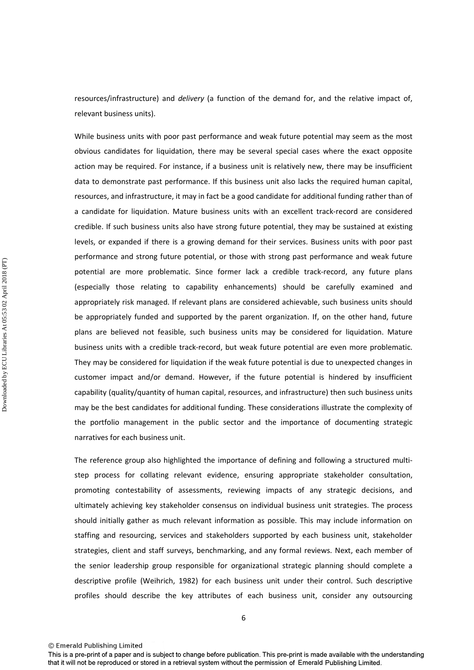resources/infrastructure) and *delivery* (a function of the demand for, and the relative impact of, relevant business units).

While business units with poor past performance and weak future potential may seem as the most obvious candidates for liquidation, there may be several special cases where the exact opposite action may be required. For instance, if a business unit is relatively new, there may be insufficient data to demonstrate past performance. If this business unit also lacks the required human capital, resources, and infrastructure, it may in fact be a good candidate for additional funding rather than of a candidate for liquidation. Mature business units with an excellent track-record are considered credible. If such business units also have strong future potential, they may be sustained at existing levels, or expanded if there is a growing demand for their services. Business units with poor past performance and strong future potential, or those with strong past performance and weak future potential are more problematic. Since former lack a credible track-record, any future plans (especially those relating to capability enhancements) should be carefully examined and appropriately risk managed. If relevant plans are considered achievable, such business units should be appropriately funded and supported by the parent organization. If, on the other hand, future plans are believed not feasible, such business units may be considered for liquidation. Mature business units with a credible track-record, but weak future potential are even more problematic. They may be considered for liquidation if the weak future potential is due to unexpected changes in customer impact and/or demand. However, if the future potential is hindered by insufficient capability (quality/quantity of human capital, resources, and infrastructure) then such business units may be the best candidates for additional funding. These considerations illustrate the complexity of the portfolio management in the public sector and the importance of documenting strategic narratives for each business unit.

The reference group also highlighted the importance of defining and following a structured multistep process for collating relevant evidence, ensuring appropriate stakeholder consultation, promoting contestability of assessments, reviewing impacts of any strategic decisions, and ultimately achieving key stakeholder consensus on individual business unit strategies. The process should initially gather as much relevant information as possible. This may include information on staffing and resourcing, services and stakeholders supported by each business unit, stakeholder strategies, client and staff surveys, benchmarking, and any formal reviews. Next, each member of the senior leadership group responsible for organizational strategic planning should complete a descriptive profile (Weihrich, 1982) for each business unit under their control. Such descriptive profiles should describe the key attributes of each business unit, consider any outsourcing

© Emerald Publishing Limited

This is a pre-print of a paper and is subject to change before publication. This pre-print is made available with the understanding that it will not be reproduced or stored in a retrieval system without the permission of Emerald Publishing Limited.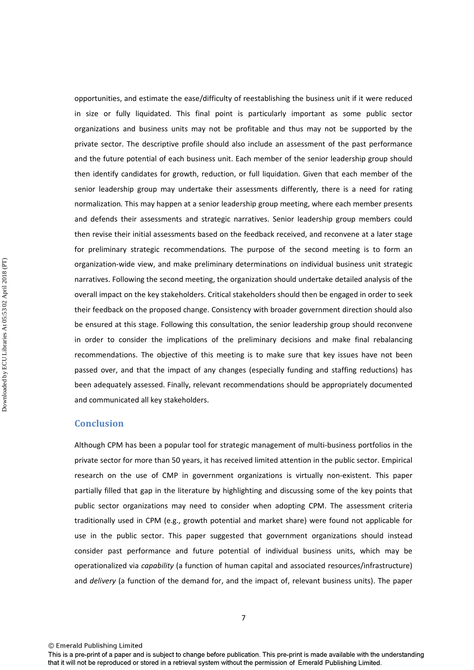opportunities, and estimate the ease/difficulty of reestablishing the business unit if it were reduced in size or fully liquidated. This final point is particularly important as some public sector organizations and business units may not be profitable and thus may not be supported by the private sector. The descriptive profile should also include an assessment of the past performance and the future potential of each business unit. Each member of the senior leadership group should then identify candidates for growth, reduction, or full liquidation. Given that each member of the senior leadership group may undertake their assessments differently, there is a need for rating normalization*.* This may happen at a senior leadership group meeting, where each member presents and defends their assessments and strategic narratives. Senior leadership group members could then revise their initial assessments based on the feedback received, and reconvene at a later stage for preliminary strategic recommendations*.* The purpose of the second meeting is to form an organization-wide view, and make preliminary determinations on individual business unit strategic narratives. Following the second meeting, the organization should undertake detailed analysis of the overall impact on the key stakeholders. Critical stakeholders should then be engaged in order to seek their feedback on the proposed change. Consistency with broader government direction should also be ensured at this stage. Following this consultation, the senior leadership group should reconvene in order to consider the implications of the preliminary decisions and make final rebalancing recommendations. The objective of this meeting is to make sure that key issues have not been passed over, and that the impact of any changes (especially funding and staffing reductions) has been adequately assessed. Finally, relevant recommendations should be appropriately documented and communicated all key stakeholders.

#### **Conclusion**

Although CPM has been a popular tool for strategic management of multi-business portfolios in the private sector for more than 50 years, it has received limited attention in the public sector. Empirical research on the use of CMP in government organizations is virtually non-existent. This paper partially filled that gap in the literature by highlighting and discussing some of the key points that public sector organizations may need to consider when adopting CPM. The assessment criteria traditionally used in CPM (e.g., growth potential and market share) were found not applicable for use in the public sector. This paper suggested that government organizations should instead consider past performance and future potential of individual business units, which may be operationalized via *capability* (a function of human capital and associated resources/infrastructure) and *delivery* (a function of the demand for, and the impact of, relevant business units). The paper

This is a pre-print of a paper and is subject to change before publication. This pre-print is made available with the understanding that it will not be reproduced or stored in a retrieval system without the permission of Emerald Publishing Limited.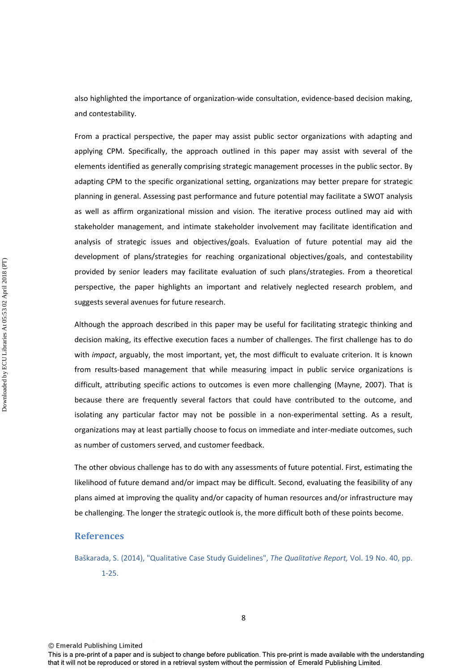also highlighted the importance of organization-wide consultation, evidence-based decision making, and contestability.

From a practical perspective, the paper may assist public sector organizations with adapting and applying CPM. Specifically, the approach outlined in this paper may assist with several of the elements identified as generally comprising strategic management processes in the public sector. By adapting CPM to the specific organizational setting, organizations may better prepare for strategic planning in general. Assessing past performance and future potential may facilitate a SWOT analysis as well as affirm organizational mission and vision. The iterative process outlined may aid with stakeholder management, and intimate stakeholder involvement may facilitate identification and analysis of strategic issues and objectives/goals. Evaluation of future potential may aid the development of plans/strategies for reaching organizational objectives/goals, and contestability provided by senior leaders may facilitate evaluation of such plans/strategies. From a theoretical perspective, the paper highlights an important and relatively neglected research problem, and suggests several avenues for future research.

Although the approach described in this paper may be useful for facilitating strategic thinking and decision making, its effective execution faces a number of challenges. The first challenge has to do with *impact*, arguably, the most important, yet, the most difficult to evaluate criterion. It is known from results-based management that while measuring impact in public service organizations is difficult, attributing specific actions to outcomes is even more challenging (Mayne, 2007). That is because there are frequently several factors that could have contributed to the outcome, and isolating any particular factor may not be possible in a non-experimental setting. As a result, organizations may at least partially choose to focus on immediate and inter-mediate outcomes, such as number of customers served, and customer feedback.

The other obvious challenge has to do with any assessments of future potential. First, estimating the likelihood of future demand and/or impact may be difficult. Second, evaluating the feasibility of any plans aimed at improving the quality and/or capacity of human resources and/or infrastructure may be challenging. The longer the strategic outlook is, the more difficult both of these points become.

#### **References**

Baškarada, S. (2014), "Qualitative Case Study Guidelines", *The Qualitative Report,* Vol. 19 No. 40, pp. 1-25.

8

© Emerald Publishing Limited

This is a pre-print of a paper and is subject to change before publication. This pre-print is made available with the understanding that it will not be reproduced or stored in a retrieval system without the permission of Emerald Publishing Limited.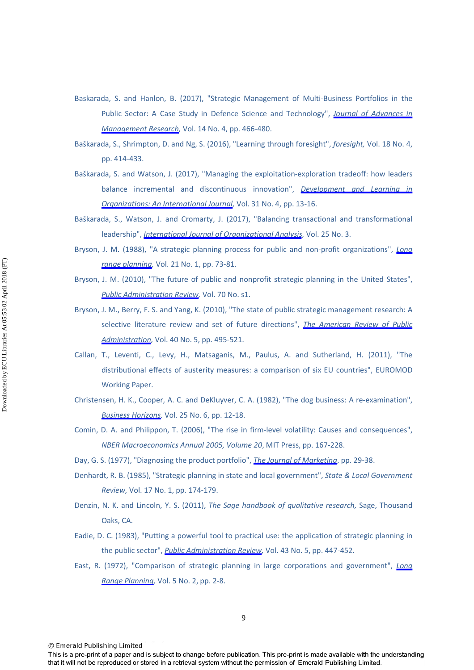- Baskarada, S. and Hanlon, B. (2017), "Strategic Management of Multi-Business Portfolios in the Public Sector: A Case Study in Defence Science and Technology", *[Journal of Advances in](https://www.emeraldinsight.com/action/showLinks?doi=10.1108%2FJMD-04-2017-0107&system=10.1108%2FJAMR-03-2017-0032&citationId=p_2)  [Management Research,](https://www.emeraldinsight.com/action/showLinks?doi=10.1108%2FJMD-04-2017-0107&system=10.1108%2FJAMR-03-2017-0032&citationId=p_2)* Vol. 14 No. 4, pp. 466-480.
- Baškarada, S., Shrimpton, D. and Ng, S. (2016), "Learning through foresight", *foresight,* Vol. 18 No. 4, pp. 414-433.
- Baškarada, S. and Watson, J. (2017), "Managing the exploitation-exploration tradeoff: how leaders balance incremental and discontinuous innovation", *[Development and Learning in](https://www.emeraldinsight.com/action/showLinks?doi=10.1108%2FJMD-04-2017-0107&system=10.1108%2FDLO-10-2016-0096&citationId=p_4)  [Organizations: An International Journal](https://www.emeraldinsight.com/action/showLinks?doi=10.1108%2FJMD-04-2017-0107&system=10.1108%2FDLO-10-2016-0096&citationId=p_4),* Vol. 31 No. 4, pp. 13-16.
- Baškarada, S., Watson, J. and Cromarty, J. (2017), "Balancing transactional and transformational leadership", *[International Journal of Organizational Analysis](https://www.emeraldinsight.com/action/showLinks?doi=10.1108%2FJMD-04-2017-0107&system=10.1108%2FIJOA-02-2016-0978&citationId=p_5),* Vol. 25 No. 3.
- Bryson, J. M. (1988), "A strategic planning process for public and non-profit organizations", *[Long](https://www.emeraldinsight.com/action/showLinks?doi=10.1108%2FJMD-04-2017-0107&crossref=10.1016%2F0024-6301%2888%2990061-1&citationId=p_6)  [range planning,](https://www.emeraldinsight.com/action/showLinks?doi=10.1108%2FJMD-04-2017-0107&crossref=10.1016%2F0024-6301%2888%2990061-1&citationId=p_6)* Vol. 21 No. 1, pp. 73-81.
- Bryson, J. M. (2010), "The future of public and nonprofit strategic planning in the United States", *[Public Administration Review](https://www.emeraldinsight.com/action/showLinks?doi=10.1108%2FJMD-04-2017-0107&crossref=10.1111%2Fj.1540-6210.2010.02285.x&citationId=p_7),* Vol. 70 No. s1.
- Bryson, J. M., Berry, F. S. and Yang, K. (2010), "The state of public strategic management research: A selective literature review and set of future directions", *[The American Review of Public](https://www.emeraldinsight.com/action/showLinks?doi=10.1108%2FJMD-04-2017-0107&crossref=10.1177%2F0275074010370361&citationId=p_8)  [Administration,](https://www.emeraldinsight.com/action/showLinks?doi=10.1108%2FJMD-04-2017-0107&crossref=10.1177%2F0275074010370361&citationId=p_8)* Vol. 40 No. 5, pp. 495-521.
- Callan, T., Leventi, C., Levy, H., Matsaganis, M., Paulus, A. and Sutherland, H. (2011), "The distributional effects of austerity measures: a comparison of six EU countries", EUROMOD Working Paper.
- Christensen, H. K., Cooper, A. C. and DeKluyver, C. A. (1982), "The dog business: A re-examination", *[Business Horizons,](https://www.emeraldinsight.com/action/showLinks?doi=10.1108%2FJMD-04-2017-0107&crossref=10.1016%2F0007-6813%2882%2990003-9&citationId=p_10)* Vol. 25 No. 6, pp. 12-18.
- Comin, D. A. and Philippon, T. (2006), "The rise in firm-level volatility: Causes and consequences", *NBER Macroeconomics Annual 2005, Volume 20*, MIT Press, pp. 167-228.
- Day, G. S. (1977), "Diagnosing the product portfolio", *[The Journal of Marketing](https://www.emeraldinsight.com/action/showLinks?doi=10.1108%2FJMD-04-2017-0107&crossref=10.2307%2F1250631&citationId=p_12)*, pp. 29-38.
- Denhardt, R. B. (1985), "Strategic planning in state and local government", *State & Local Government Review,* Vol. 17 No. 1, pp. 174-179.
- Denzin, N. K. and Lincoln, Y. S. (2011), *The Sage handbook of qualitative research,* Sage, Thousand Oaks, CA.
- Eadie, D. C. (1983), "Putting a powerful tool to practical use: the application of strategic planning in the public sector", *[Public Administration Review](https://www.emeraldinsight.com/action/showLinks?doi=10.1108%2FJMD-04-2017-0107&crossref=10.2307%2F975852&citationId=p_15),* Vol. 43 No. 5, pp. 447-452.
- East, R. (1972), "Comparison of strategic planning in large corporations and government", *[Long](https://www.emeraldinsight.com/action/showLinks?doi=10.1108%2FJMD-04-2017-0107&crossref=10.1016%2F0024-6301%2872%2990038-6&citationId=p_16)  [Range Planning,](https://www.emeraldinsight.com/action/showLinks?doi=10.1108%2FJMD-04-2017-0107&crossref=10.1016%2F0024-6301%2872%2990038-6&citationId=p_16)* Vol. 5 No. 2, pp. 2-8.

© Emerald Publishing Limited

Downloaded by ECU Libraries At 05:53 02 April 2018 (PT) Downloaded by ECU Libraries At 05:53 02 April 2018 (PT)

This is a pre-print of a paper and is subject to change before publication. This pre-print is made available with the understanding that it will not be reproduced or stored in a retrieval system without the permission of Emerald Publishing Limited.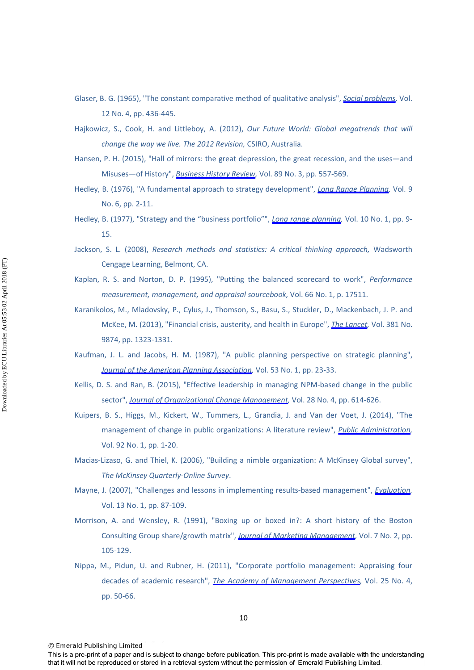- Glaser, B. G. (1965), "The constant comparative method of qualitative analysis", *[Social problems](https://www.emeraldinsight.com/action/showLinks?doi=10.1108%2FJMD-04-2017-0107&crossref=10.2307%2F798843&citationId=p_17),* Vol. 12 No. 4, pp. 436-445.
- Hajkowicz, S., Cook, H. and Littleboy, A. (2012), *Our Future World: Global megatrends that will change the way we live. The 2012 Revision,* CSIRO, Australia.
- Hansen, P. H. (2015), "Hall of mirrors: the great depression, the great recession, and the uses—and Misuses—of History", *[Business History Review,](https://www.emeraldinsight.com/action/showLinks?doi=10.1108%2FJMD-04-2017-0107&crossref=10.1017%2FS000768051500077X&citationId=p_19)* Vol. 89 No. 3, pp. 557-569.
- Hedley, B. (1976), "A fundamental approach to strategy development", *[Long Range Planning](https://www.emeraldinsight.com/action/showLinks?doi=10.1108%2FJMD-04-2017-0107&crossref=10.1016%2F0024-6301%2876%2990005-4&citationId=p_20),* Vol. 9 No. 6, pp. 2-11.
- Hedley, B. (1977), "Strategy and the "business portfolio"", *[Long range planning](https://www.emeraldinsight.com/action/showLinks?doi=10.1108%2FJMD-04-2017-0107&crossref=10.1016%2F0024-6301%2877%2990042-5&citationId=p_21),* Vol. 10 No. 1, pp. 9- 15.
- Jackson, S. L. (2008), *Research methods and statistics: A critical thinking approach,* Wadsworth Cengage Learning, Belmont, CA.
- Kaplan, R. S. and Norton, D. P. (1995), "Putting the balanced scorecard to work", *Performance measurement, management, and appraisal sourcebook,* Vol. 66 No. 1, p. 17511.
- Karanikolos, M., Mladovsky, P., Cylus, J., Thomson, S., Basu, S., Stuckler, D., Mackenbach, J. P. and McKee, M. (2013), "Financial crisis, austerity, and health in Europe", *[The Lancet](https://www.emeraldinsight.com/action/showLinks?doi=10.1108%2FJMD-04-2017-0107&crossref=10.1016%2FS0140-6736%2813%2960102-6&citationId=p_24),* Vol. 381 No. 9874, pp. 1323-1331.
- Kaufman, J. L. and Jacobs, H. M. (1987), "A public planning perspective on strategic planning", *[Journal of the American Planning Association](https://www.emeraldinsight.com/action/showLinks?doi=10.1108%2FJMD-04-2017-0107&crossref=10.1080%2F01944368708976632&citationId=p_25),* Vol. 53 No. 1, pp. 23-33.
- Kellis, D. S. and Ran, B. (2015), "Effective leadership in managing NPM-based change in the public sector", *[Journal of Organizational Change Management,](https://www.emeraldinsight.com/action/showLinks?doi=10.1108%2FJMD-04-2017-0107&system=10.1108%2FJOCM-11-2013-0229&citationId=p_26)* Vol. 28 No. 4, pp. 614-626.
- Kuipers, B. S., Higgs, M., Kickert, W., Tummers, L., Grandia, J. and Van der Voet, J. (2014), "The management of change in public organizations: A literature review", *[Public Administration](https://www.emeraldinsight.com/action/showLinks?doi=10.1108%2FJMD-04-2017-0107&crossref=10.1111%2Fpadm.12040&citationId=p_27),* Vol. 92 No. 1, pp. 1-20.
- Macias-Lizaso, G. and Thiel, K. (2006), "Building a nimble organization: A McKinsey Global survey", *The McKinsey Quarterly-Online Survey*.
- Mayne, J. (2007), "Challenges and lessons in implementing results-based management", *[Evaluation](https://www.emeraldinsight.com/action/showLinks?doi=10.1108%2FJMD-04-2017-0107&crossref=10.1177%2F1356389007073683&citationId=p_29),* Vol. 13 No. 1, pp. 87-109.
- Morrison, A. and Wensley, R. (1991), "Boxing up or boxed in?: A short history of the Boston Consulting Group share/growth matrix", *[Journal of Marketing Management,](https://www.emeraldinsight.com/action/showLinks?doi=10.1108%2FJMD-04-2017-0107&crossref=10.1080%2F0267257X.1991.9964145&citationId=p_30)* Vol. 7 No. 2, pp. 105-129.
- Nippa, M., Pidun, U. and Rubner, H. (2011), "Corporate portfolio management: Appraising four decades of academic research", *[The Academy of Management Perspectives](https://www.emeraldinsight.com/action/showLinks?doi=10.1108%2FJMD-04-2017-0107&crossref=10.5465%2Famp.2010.0164&citationId=p_31),* Vol. 25 No. 4, pp. 50-66.

<sup>©</sup> Emerald Publishing Limited

This is a pre-print of a paper and is subject to change before publication. This pre-print is made available with the understanding that it will not be reproduced or stored in a retrieval system without the permission of Emerald Publishing Limited.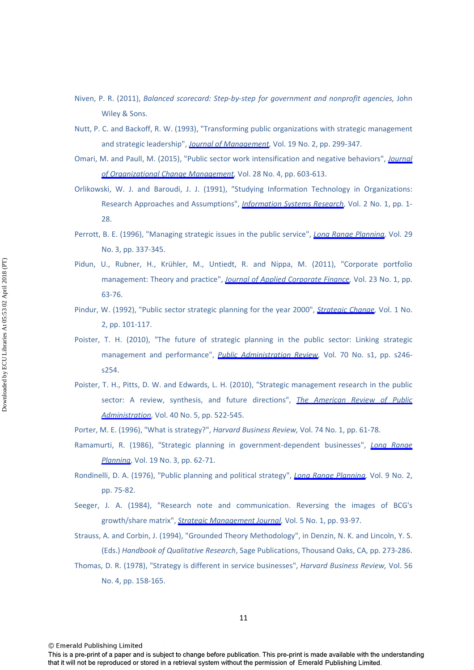- Niven, P. R. (2011), *Balanced scorecard: Step-by-step for government and nonprofit agencies,* John Wiley & Sons.
- Nutt, P. C. and Backoff, R. W. (1993), "Transforming public organizations with strategic management and strategic leadership", *[Journal of Management,](https://www.emeraldinsight.com/action/showLinks?doi=10.1108%2FJMD-04-2017-0107&crossref=10.1177%2F014920639301900206&citationId=p_33)* Vol. 19 No. 2, pp. 299-347.
- Omari, M. and Paull, M. (2015), "Public sector work intensification and negative behaviors", *[Journal](https://www.emeraldinsight.com/action/showLinks?doi=10.1108%2FJMD-04-2017-0107&system=10.1108%2FJOCM-11-2013-0225&citationId=p_34)  [of Organizational Change Management,](https://www.emeraldinsight.com/action/showLinks?doi=10.1108%2FJMD-04-2017-0107&system=10.1108%2FJOCM-11-2013-0225&citationId=p_34)* Vol. 28 No. 4, pp. 603-613.
- Orlikowski, W. J. and Baroudi, J. J. (1991), "Studying Information Technology in Organizations: Research Approaches and Assumptions", *[Information Systems Research](https://www.emeraldinsight.com/action/showLinks?doi=10.1108%2FJMD-04-2017-0107&crossref=10.1287%2Fisre.2.1.1&citationId=p_35),* Vol. 2 No. 1, pp. 1- 28.
- Perrott, B. E. (1996), "Managing strategic issues in the public service", *[Long Range Planning,](https://www.emeraldinsight.com/action/showLinks?doi=10.1108%2FJMD-04-2017-0107&crossref=10.1016%2F0024-6301%2896%2900030-1&citationId=p_36)* Vol. 29 No. 3, pp. 337-345.
- Pidun, U., Rubner, H., Krühler, M., Untiedt, R. and Nippa, M. (2011), "Corporate portfolio management: Theory and practice", *[Journal of Applied Corporate Finance,](https://www.emeraldinsight.com/action/showLinks?doi=10.1108%2FJMD-04-2017-0107&crossref=10.1111%2Fj.1745-6622.2011.00315.x&citationId=p_37)* Vol. 23 No. 1, pp. 63-76.
- Pindur, W. (1992), "Public sector strategic planning for the year 2000", *[Strategic Change](https://www.emeraldinsight.com/action/showLinks?doi=10.1108%2FJMD-04-2017-0107&crossref=10.1002%2Fjsc.4240010207&citationId=p_38),* Vol. 1 No. 2, pp. 101-117.
- Poister, T. H. (2010), "The future of strategic planning in the public sector: Linking strategic management and performance", *[Public Administration Review](https://www.emeraldinsight.com/action/showLinks?doi=10.1108%2FJMD-04-2017-0107&crossref=10.1111%2Fj.1540-6210.2010.02284.x&citationId=p_39),* Vol. 70 No. s1, pp. s246 s254.
- Poister, T. H., Pitts, D. W. and Edwards, L. H. (2010), "Strategic management research in the public sector: A review, synthesis, and future directions", *[The American Review of Public](https://www.emeraldinsight.com/action/showLinks?doi=10.1108%2FJMD-04-2017-0107&crossref=10.1177%2F0275074010370617&citationId=p_40)  [Administration,](https://www.emeraldinsight.com/action/showLinks?doi=10.1108%2FJMD-04-2017-0107&crossref=10.1177%2F0275074010370617&citationId=p_40)* Vol. 40 No. 5, pp. 522-545.
- Porter, M. E. (1996), "What is strategy?", *Harvard Business Review,* Vol. 74 No. 1, pp. 61-78.
- Ramamurti, R. (1986), "Strategic planning in government-dependent businesses", *[Long Range](https://www.emeraldinsight.com/action/showLinks?doi=10.1108%2FJMD-04-2017-0107&crossref=10.1016%2F0024-6301%2886%2990200-1&citationId=p_42)  [Planning](https://www.emeraldinsight.com/action/showLinks?doi=10.1108%2FJMD-04-2017-0107&crossref=10.1016%2F0024-6301%2886%2990200-1&citationId=p_42),* Vol. 19 No. 3, pp. 62-71.
- Rondinelli, D. A. (1976), "Public planning and political strategy", *[Long Range Planning,](https://www.emeraldinsight.com/action/showLinks?doi=10.1108%2FJMD-04-2017-0107&crossref=10.1016%2F0024-6301%2876%2990080-7&citationId=p_43)* Vol. 9 No. 2, pp. 75-82.
- Seeger, J. A. (1984), "Research note and communication. Reversing the images of BCG's growth/share matrix", *[Strategic Management Journal,](https://www.emeraldinsight.com/action/showLinks?doi=10.1108%2FJMD-04-2017-0107&crossref=10.1002%2Fsmj.4250050107&citationId=p_44)* Vol. 5 No. 1, pp. 93-97.
- Strauss, A. and Corbin, J. (1994), "Grounded Theory Methodology", in Denzin, N. K. and Lincoln, Y. S. (Eds.) *Handbook of Qualitative Research*, Sage Publications, Thousand Oaks, CA, pp. 273-286.
- Thomas, D. R. (1978), "Strategy is different in service businesses", *Harvard Business Review,* Vol. 56 No. 4, pp. 158-165.

<sup>©</sup> Emerald Publishing Limited

This is a pre-print of a paper and is subject to change before publication. This pre-print is made available with the understanding that it will not be reproduced or stored in a retrieval system without the permission of Emerald Publishing Limited.